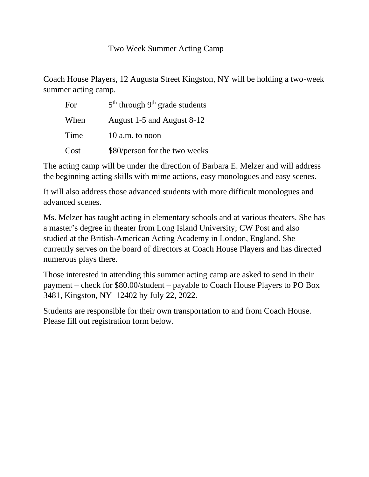Coach House Players, 12 Augusta Street Kingston, NY will be holding a two-week summer acting camp.

| For  | $5th$ through 9 <sup>th</sup> grade students |
|------|----------------------------------------------|
| When | August 1-5 and August 8-12                   |
| Time | 10 a.m. to noon                              |
| Cost | \$80/person for the two weeks                |

The acting camp will be under the direction of Barbara E. Melzer and will address the beginning acting skills with mime actions, easy monologues and easy scenes.

It will also address those advanced students with more difficult monologues and advanced scenes.

Ms. Melzer has taught acting in elementary schools and at various theaters. She has a master's degree in theater from Long Island University; CW Post and also studied at the British-American Acting Academy in London, England. She currently serves on the board of directors at Coach House Players and has directed numerous plays there.

Those interested in attending this summer acting camp are asked to send in their payment – check for \$80.00/student – payable to Coach House Players to PO Box 3481, Kingston, NY 12402 by July 22, 2022.

Students are responsible for their own transportation to and from Coach House. Please fill out registration form below.